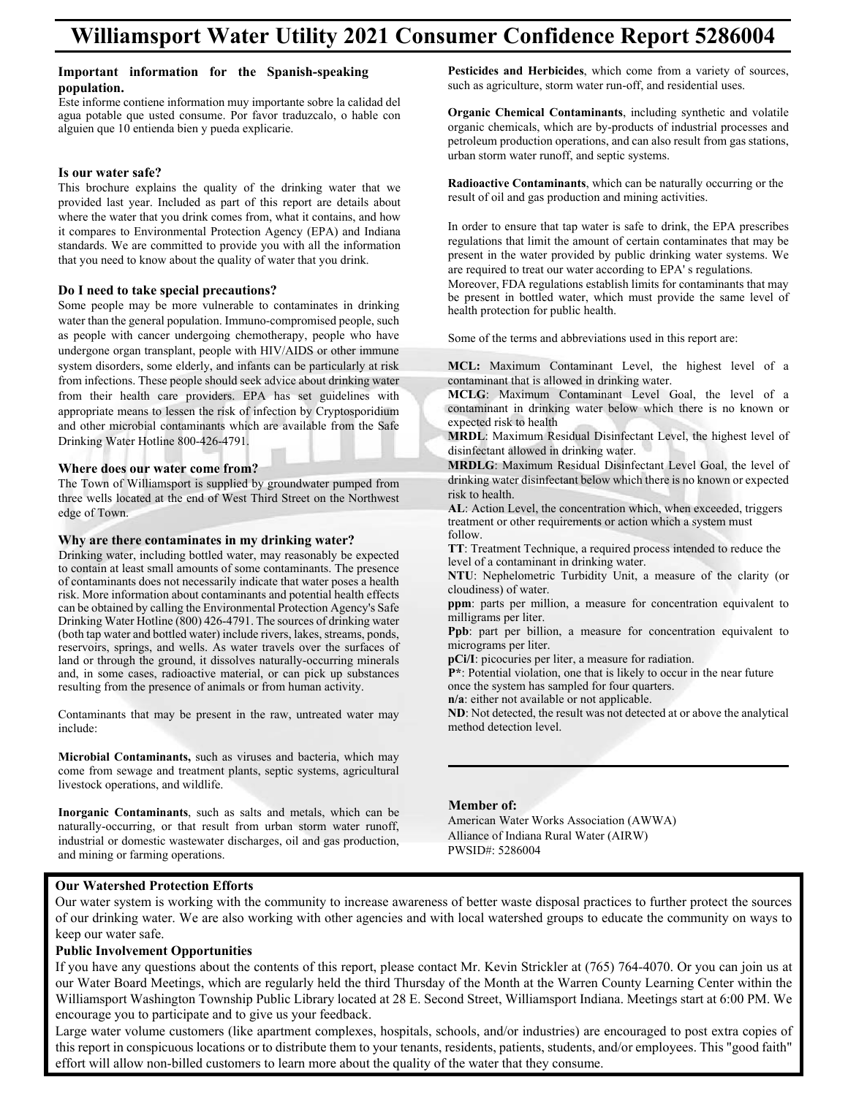### Important information for the Spanish-speaking **population.**  amporum mormanon for inc opur

**population.**<br>Este informe contiene information muy importante sobre la calidad del Este informe contiene information muy importante sobre la candad del<br>agua potable que usted consume. Por favor traduzcalo, o hable con alguien que 10 entienda bien y pueda explicarie.  $\begin{bmatrix} 1 & 1 \\ 1 & 1 \end{bmatrix}$ Esta pottole que usica consume. For lavor traduzcato, o naote con aguien que 10 entiendo bien y poeda expirante.

Este informe contiene information muy importante sobre la calidad del

### Is our water safe?

This brochure explains the quality of the drinking water that we argued all Let use a Jacket compare of this and indiana and Indiana and Indiana and Indiana and Indiana and Indiana and Indiana and Indiana and Indiana and I provided last year. Included as part of this report are details about where the water that you drink comes from, what it contains, and how it compares to Environmental Protection Agency (EPA) and Indiana<br>where the water that you denote the water that it contains the water that you denote standards. We are committed to provide you with all the information that you need to know about the quality of water that you drink.  $T_{\text{total}}$  and  $T_{\text{total}}$  are drinking water that we determine the drinking water that we determine that we determine that we determine the drinking was determined water that we determine the drinking was determined water t where the water that you think comes from, what it contains, and now

water than the general population. In the general population  $\mathcal{L}$ 

# **Do I need to take special precautions?**

Some people may be more vulnerable to contaminates in drinking and transplant, people with HIV and the special precautions of the precautions of the special precautions of the special precautions of the special precautions water than the general population. Immuno-compromised people, such  $\frac{1}{\sqrt{2}}$ as people with cancer undergoing chemotherapy, people who have undergone organ transplant, people with HIV/AIDS or other immune system disorders, some elderly, and infants can be particularly at risk from infections. These people should seek advice about drinking water from their health care providers. EPA has set guidelines with appropriate means to lessen the risk of infection by Cryptosporidium and other microbial contaminants which are available from the Safe Drinking Water Hotline 800-426-4791.  $\text{Diffiking water}$  From the SOV-420-4791. and other inferiorial contaminants which are available from the safe

## Where does our water come from?

The Town of Williamsport is supplied by groundwater pumped from three wells located at the end of West Third Street on the Northwest edge of Town. three wents focated at the chd of west Thind Street on the Northwest  $t_{\text{cusp}}$  of fownts of some contaminants. The presence contains of some contaminants. The presence contains of  $t_{\text{cusp}}$ three wells located at the end of West Third Street on the Northwest Third Street on the Northwest Third Street on the Northwest Third Street on the Northwest Third Street on the Northwest Third Street on the Northwest Thi

### Why are there contaminates in my drinking water? risk. More interested about the more information about contaminates in my urinising water.  $W<sub>hr</sub>$  and then

Drinking water, including bottled water, may reasonably be expected Drinking water, including bottled water, may reasonably be expected to contain at least small amounts of some contaminants. The presence to contaminants does not necessarily indicate that water poses a health of contaminants does not necessarily indicate that water poses a health risk. More information about contaminants and potential health effects risk. More information about contaminants and potential health effects risk. More information about contaminants and potential health cricets can be obtained by calling the Environmental Protection Agency's Safe et and the solution about contained by cannon about contaminants and potential, or calculated by some cases of drinking water binking water rivers (boo) 120 1191. The sources of animality water<br>(both tap water and bottled water) include rivers, lakes, streams, ponds, reservoirs, springs, and wells. As water travels over the surfaces of drinking water travels over the surfaces of land or through the ground, it dissolves naturally-occurring minerals and in series over in the raw, untreated and, in some cases, radioactive material, or can pick up substances and, in some cases, radioactive material, or can pick up substances resulting from the presence of animals or from human activity. (both tons, springs, and wens. The water travels over the surfaces of resulting from the presence of animals of from numan activity.

Contaminants that may be present in the raw, untreated water may include: comunimums that may be present in the raw, untreated water may  $l$  livestock operations, and wildlife. Contominants that may be present in the rey, untreated water  $\Gamma$  contains that may be present in the raw, untreated water may be present in the raw, until  $\Gamma$ 

**Microbial Contaminants,** such as viruses and bacteria, which may **INCLUSTANT CONTAMINANTS,** such as virtuoses and eacteria, which may come from sewage and treatment plants, septic systems, agricultural livestock operations, and wildlife. **industrial or domestic wastewater and selection**, septic systems, septic systems, septic systems, septic systems, septic systems, septic systems, septic systems, septic systems, septic come nom sewage and ucannem plants, sephe systems, agricultural<br>livestook operations, and wildlife

Inorganic Contaminants, such as salts and metals, which can be naturally-occurring, or that result from urban storm water runoff, maturally-occurring, or that result from urban storm water runori, industrial or domestic was tewater discharges, oil and gas production, and mining or farming operations. niquestitat of domestic wastewater discharges, on and gas production, Pesticides and Herbicides, which come from a variety of sources, residences and residences, which come non a valley of sources, such as agriculture, storm water run-off, and residential uses. such as agriculture, storm water fun-ori, and residential uses.

**Organic Chemical Contaminants**, including synthetic and volatile organic chemicals, which are by-products of industrial processes and volation synthetic and volation synthetic and volation synthetic and volation synthetic and volation synthetic and volation synthetic and volation synthe petroleum production operations, and can also result from gas stations, performant production operations, and can also result in urban storm water runoff, and septic systems. petroleum production operations, and can also result from gas stations, arban storm water rundri, and septre systems.

Radioactive Contaminants, which can be naturally occurring or the regulation of oil and gas production and mining activities. result of on and gas production and mining activities.

In order to ensure that tap water is safe to drink, the EPA prescribes regulations that limit the amount of certain contaminates that may be regulations that limit the amount of certain contaminates that may be regulations that mint the amount of certain contaminates that may be present in the water provided by public drinking water systems. We present in the water provided by public drinking water system<br>are required to treat our water according to EPA' s regulations. present in the water provided by public drinking water systems. We

are required to treat our water according to ETA's regulations.<br>Moreover, FDA regulations establish limits for contaminants that may Moreover, PDA regulations establish millits for contaminants that may<br>be present in bottled water, which must provide the same level of health protection for public health. over present in coured water, which mast provide the same fever of

Some of the terms and abbreviations used in this report are: Some of the terms and doore videois used in this report are. Samo of the tarms and abbreviation

MCL: Maximum Contaminant Level, the highest level of a contaminant that is allowed in drinking water.

**MCLG**: Maximum Contaminant Level Goal, the level of a contaminant in drinking water below which there is no known or expected risk to health **MARDLERSHEARTHANDER: MARRIAGE COLORED MARCH 2010** THE LEVEL OF LEVEL OF A PROPERTY OF mend. Maximum comanimant never experience contaminant in unitally water below which there is no known of

expected risk to heath<br>**MRDL**: Maximum Residual Disinfectant Level, the highest level of model. Maximum Residual Disinfect<br>disinfectant allowed in drinking water.

ursinfectant anowed in drinking water.<br>**MRDLG**: Maximum Residual Disinfectant Level Goal, the level of drinking water disinfectant below which there is no known or expected drinking water disinfectant below which there is no known or expected risk to health. drinking water disinfectant below which there is no known of expected  $\mathbf{M}$  distribution in dependent allows:

**AL**: Action Level, the concentration which, when exceeded, triggers treatment or other requirements or action which a system must<br>  $\mathcal{L}$  U<sub>1</sub> follow. AL: Action Level, the concentration wn  $\overline{AB}$  decay disinfect the subsection of the is no known or expected there is no known or  $\overline{AB}$  $r_{\text{rel}}$ . To  $r_{\text{rel}}$  $\alpha$  and concentration concentration which a system must<br>follow

**TT:** Treatment Technique, a required process intended to reduce the **FI:** Healthcare Federal computer and required provided by the level of a contaminant in drinking water. **ppm**: produced becoming produced process intended to reduce the layer of a conteminant in drinking water. tonow.<br>TT: Treatment Technique a required process intended to reduc

**NTU**: Nephelometric Turbidity Unit, a measure of the clarity (or cloudiness) of water. **PPD:** Prophetometric Futbourty Office, a measure of the etailty (or **NTI:** Nonhalometric Turbidity Unit a measure of the clarity (or level of a contaminant in drinking with the contamination of water.

**ppm**: parts per million, a measure for concentration equivalent to ppm. parts per mm<br>milligrams per liter. **ppm**. parts per minion, a measure for concentration.  $N$ <sup>1</sup>: Nephelometric Turbidity Unit, a measure for concentration convergent to

**Ppb**: part per hillion, a measure for concentration equivalent to **r** po. part per omne<br>micrograms per liter. **once** the system has same the system of the system of the system of the system of the system of the system of the system of the system of the system of the system of the system of the system of the system of the system of **ppm**: parts per million, a measure for concentration equivalent to

**pCi/I**: picocuries per liter, a measure for radiation. **PCIT:** PICOCUTIES PET THE R at IT detected at or above the analytical at a set of a not detected at an analytical and a set of analytical at a set of analytical at a set of analytical at a set of analytical at a set of an pper per per product.<br>**Population** to a measure for rediction

**P\*:** Potential violation, one that is likely to occur in the near future **part of the system has sampled for four quarters.** The system has sampled for four quarters. **n/a**: either not available or not applicable.

**ND**: Not detected, the result was not detected at or above the analytical method detection level. **n/b**: we actedd, the result was not acted  $N$ :  $N$ :  $N$  above the result was not detected at  $N$  and  $N$  and  $N$  are above the analytical model at  $N$ 

### **Member of:**

PWSID#: 5286004

American Water Works Association (AWWA) Alliance of Indiana Rural Water (AIRW)<br>PWGD # 5386004 PWSID#: 5286004

# **Our Watershed Protection Efforts**

keep our water safe. Our water system is working with the community to increase awareness of better waste disposal practices to further protect the sources of our drinking water. We are also working with other agencies and with local watershed groups to educate the community on ways to

Public Involvement Opportunities **and awareness of better was the sources of better protection Efforts and and a**<br>The sources to further protection Efforts and and all the sources of the sources of the sources and all the If you have any questions about the contents of this report, please contact Mr. Kevin Strickler at (765) 764-4070. Or you can join us at our Water Board Meetings, which are regularly held the third Thursday of the Month at the Warren County Learning Center within the Williamsport Washington Township Public Library located at 28 E. Second Street, Williamsport Indiana. Meetings start at 6:00 PM. We encourage you to participate and to give us your feedback.

Large water volume customers (like apartment complexes, hospitals, schools, and/or industries) are encouraged to post extra copies of this report in conspicuous locations or to distribute them to your tenants, residents, patients, students, and/or employees. This "good faith" effort will allow non-billed customers to learn more about the quality of the water that they consume.

Large water volume customers (like apartment complexes, hospitals, schools, and/or industries) are encouraged to post extra copies of